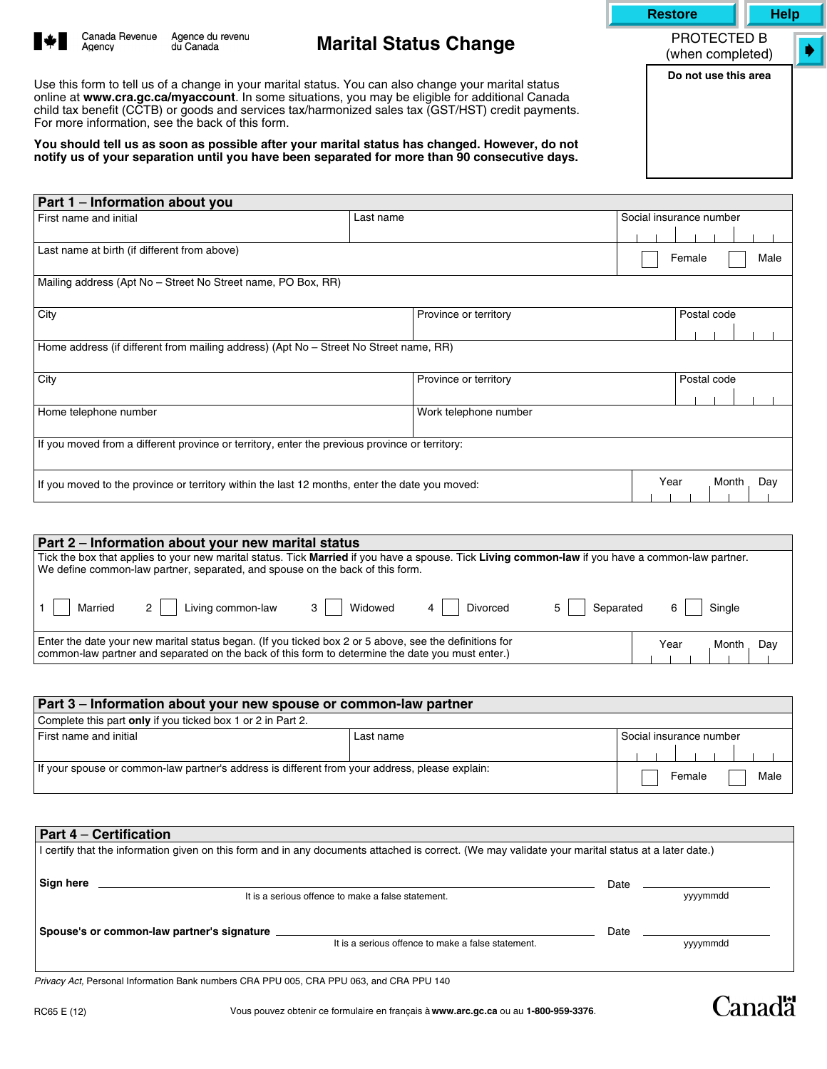

Agency

# **Marital Status Change**

PROTECTED B (when completed)

**Do not use this area**

**Restore Help**

Use this form to tell us of a change in your marital status. You can also change your marital status online at **www.cra.gc.ca/myaccount**. In some situations, you may be eligible for additional Canada child tax benefit (CCTB) or goods and services tax/harmonized sales tax (GST/HST) credit payments. For more information, see the back of this form.

**You should tell us as soon as possible after your marital status has changed. However, do not notify us of your separation until you have been separated for more than 90 consecutive days.**

| Part 1 - Information about you                                                                 |                       |                         |  |  |  |
|------------------------------------------------------------------------------------------------|-----------------------|-------------------------|--|--|--|
| First name and initial                                                                         | Last name             | Social insurance number |  |  |  |
|                                                                                                |                       |                         |  |  |  |
| Last name at birth (if different from above)                                                   |                       |                         |  |  |  |
| Mailing address (Apt No - Street No Street name, PO Box, RR)                                   |                       |                         |  |  |  |
| City                                                                                           | Province or territory | Postal code             |  |  |  |
| Home address (if different from mailing address) (Apt No – Street No Street name, RR)          |                       |                         |  |  |  |
| City                                                                                           | Province or territory | Postal code             |  |  |  |
| Home telephone number                                                                          | Work telephone number |                         |  |  |  |
| If you moved from a different province or territory, enter the previous province or territory: |                       |                         |  |  |  |
| If you moved to the province or territory within the last 12 months, enter the date you moved: |                       | Year<br>Month<br>Day    |  |  |  |

|                                                                                                                                                                                                                                    | Part 2 - Information about your new marital status |                         |          |                |   |        |  |
|------------------------------------------------------------------------------------------------------------------------------------------------------------------------------------------------------------------------------------|----------------------------------------------------|-------------------------|----------|----------------|---|--------|--|
| Tick the box that applies to your new marital status. Tick Married if you have a spouse. Tick Living common-law if you have a common-law partner.<br>We define common-law partner, separated, and spouse on the back of this form. |                                                    |                         |          |                |   |        |  |
|                                                                                                                                                                                                                                    |                                                    |                         |          |                |   |        |  |
| Married                                                                                                                                                                                                                            | Living common-law<br>2 <sup>1</sup>                | Widowed<br>$\mathbf{3}$ | Divorced | Separated<br>5 | 6 | Single |  |
| Enter the date your new marital status began. (If you ticked box 2 or 5 above, see the definitions for<br>Month<br>Year<br>common-law partner and separated on the back of this form to determine the date you must enter.)        |                                                    |                         |          | Day            |   |        |  |

| Part 3 – Information about your new spouse or common-law partner                               |           |                |                         |  |  |  |  |
|------------------------------------------------------------------------------------------------|-----------|----------------|-------------------------|--|--|--|--|
| Complete this part only if you ticked box 1 or 2 in Part 2.                                    |           |                |                         |  |  |  |  |
| First name and initial                                                                         | Last name |                | Social insurance number |  |  |  |  |
|                                                                                                |           |                |                         |  |  |  |  |
| If your spouse or common-law partner's address is different from your address, please explain: |           | Female<br>Male |                         |  |  |  |  |

| Part 4 – Certification                                                                   |                                                                                                                                                    |      |          |
|------------------------------------------------------------------------------------------|----------------------------------------------------------------------------------------------------------------------------------------------------|------|----------|
|                                                                                          | I certify that the information given on this form and in any documents attached is correct. (We may validate your marital status at a later date.) |      |          |
| Sign here                                                                                |                                                                                                                                                    | Date |          |
| It is a serious offence to make a false statement.                                       |                                                                                                                                                    |      | yyyymmdd |
| Spouse's or common-law partner's signature                                               |                                                                                                                                                    | Date |          |
|                                                                                          | It is a serious offence to make a false statement.                                                                                                 |      | yyyymmdd |
|                                                                                          |                                                                                                                                                    |      |          |
| Privacy Act, Personal Information Bank numbers CRA PPU 005, CRA PPU 063, and CRA PPU 140 |                                                                                                                                                    |      |          |

RC65 E (12) Vous pouvez obtenir ce formulaire en français à **www.arc.gc.ca** ou au **1-800-959-3376**.